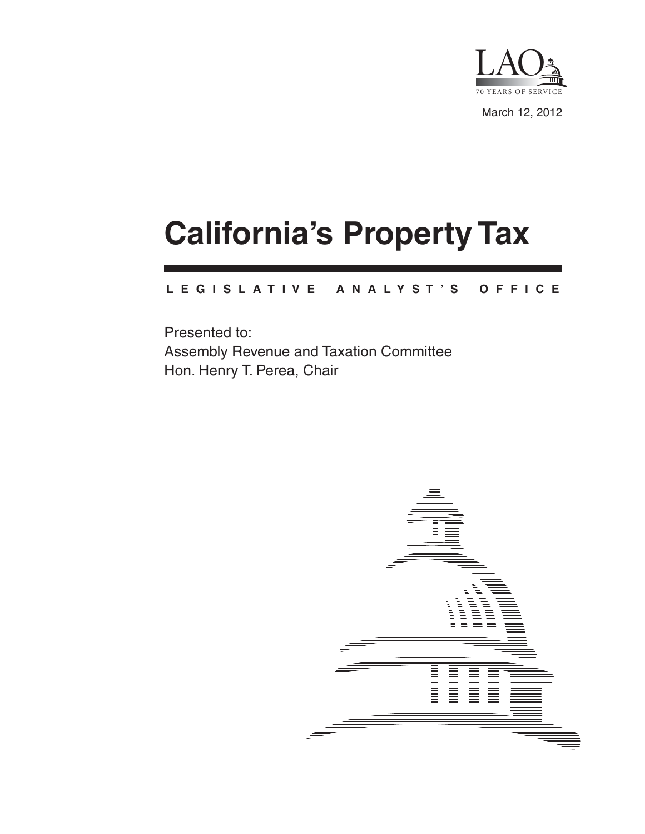

March 12, 2012

# **California's Property Tax**

#### **L E G I S L A T I V E A N A L Y S T ' S O F F I C E**

Presented to: Assembly Revenue and Taxation Committee Hon. Henry T. Perea, Chair

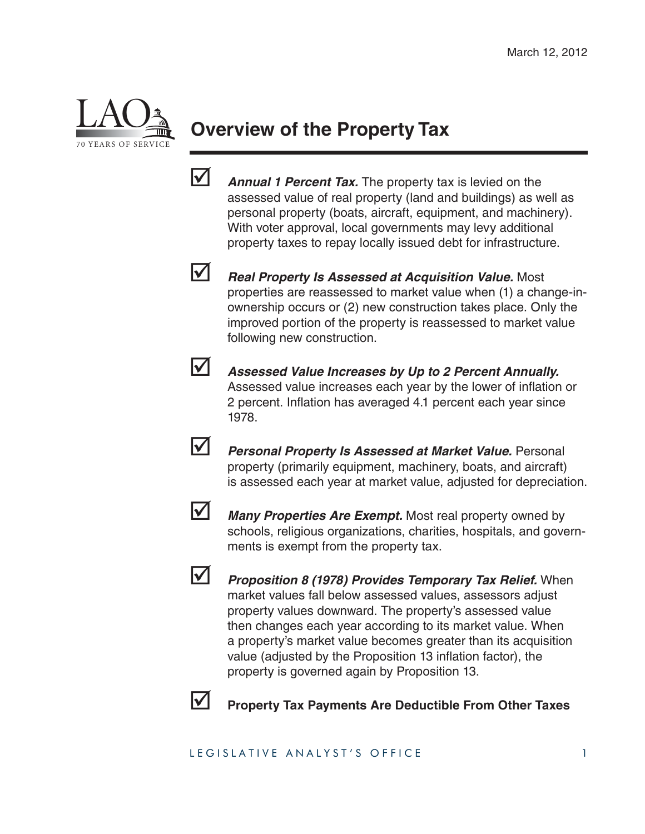

## **Overview of the Property Tax**

- **Annual 1 Percent Tax.** The property tax is levied on the assessed value of real property (land and buildings) as well as personal property (boats, aircraft, equipment, and machinery). With voter approval, local governments may levy additional property taxes to repay locally issued debt for infrastructure.
- 
- *Real Property Is Assessed at Acquisition Value.* Most properties are reassessed to market value when (1) a change-inownership occurs or (2) new construction takes place. Only the improved portion of the property is reassessed to market value following new construction.
- 
- *Assessed Value Increases by Up to 2 Percent Annually.*  Assessed value increases each year by the lower of inflation or 2 percent. Inflation has averaged 4.1 percent each year since 1978.
- 
- *Personal Property Is Assessed at Market Value.* **Personal** property (primarily equipment, machinery, boats, and aircraft) is assessed each year at market value, adjusted for depreciation.
- 
- **Many Properties Are Exempt.** Most real property owned by schools, religious organizations, charities, hospitals, and governments is exempt from the property tax.



 *Proposition 8 (1978) Provides Temporary Tax Relief.* When market values fall below assessed values, assessors adjust property values downward. The property's assessed value then changes each year according to its market value. When a property's market value becomes greater than its acquisition value (adjusted by the Proposition 13 inflation factor), the property is governed again by Proposition 13.



**Property Tax Payments Are Deductible From Other Taxes**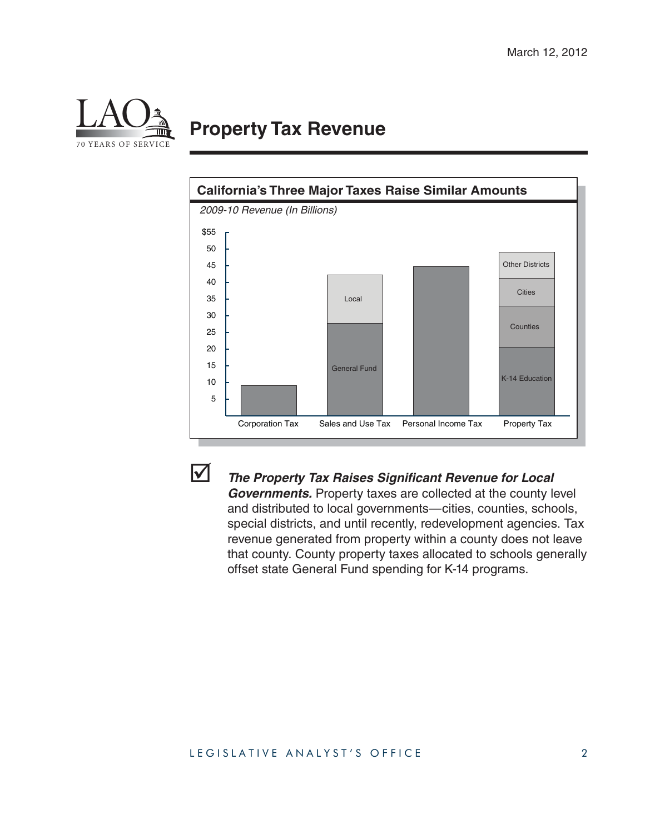

### **Property Tax Revenue**





#### **1** The Property Tax Raises Significant Revenue for Local

*Governments.* Property taxes are collected at the county level and distributed to local governments—cities, counties, schools, special districts, and until recently, redevelopment agencies. Tax revenue generated from property within a county does not leave that county. County property taxes allocated to schools generally offset state General Fund spending for K-14 programs.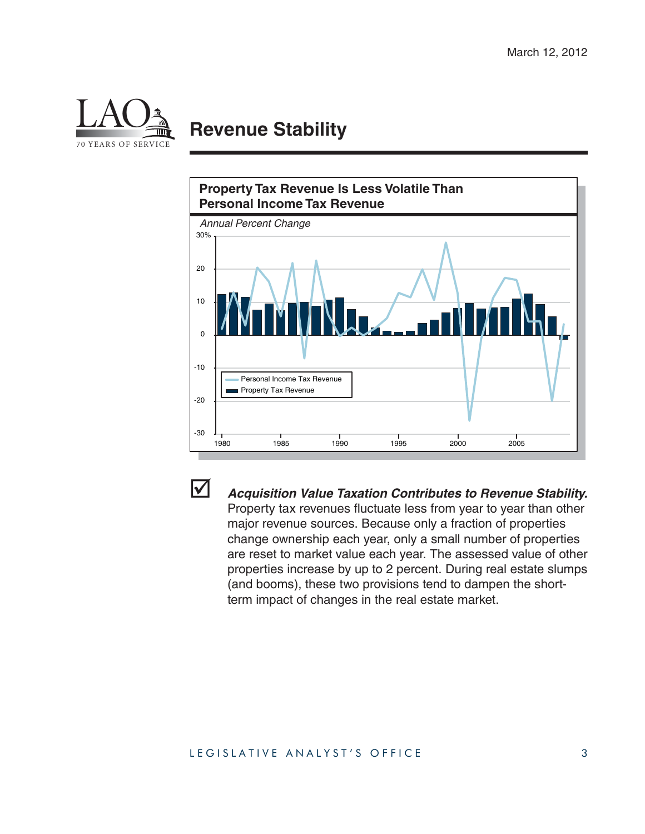

## **Revenue Stability**





 *Acquisition Value Taxation Contributes to Revenue Stability.*  Property tax revenues fluctuate less from year to year than other major revenue sources. Because only a fraction of properties change ownership each year, only a small number of properties are reset to market value each year. The assessed value of other properties increase by up to 2 percent. During real estate slumps (and booms), these two provisions tend to dampen the shortterm impact of changes in the real estate market.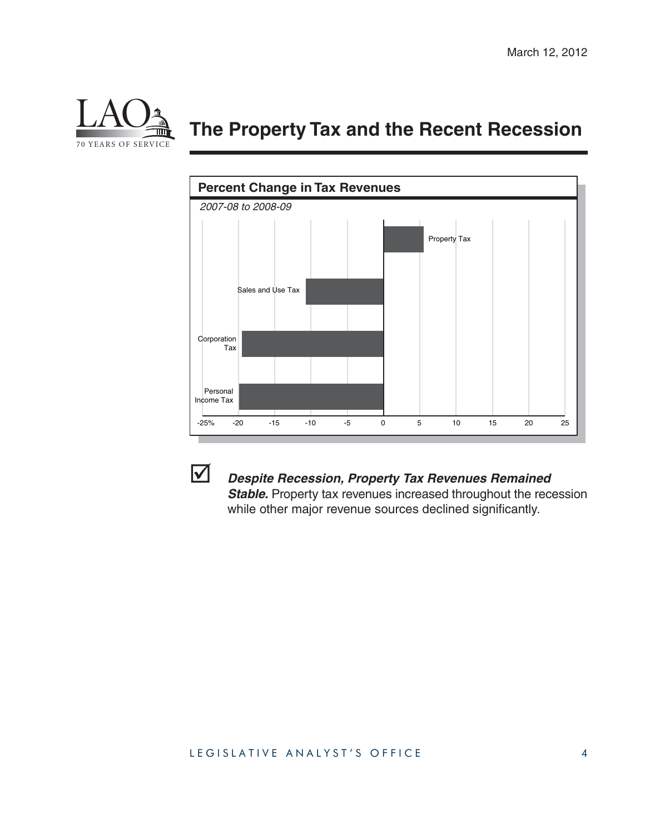

## **The Property Tax and the Recent Recession**





#### *Despite Recession, Property Tax Revenues Remained*  **Stable.** Property tax revenues increased throughout the recession

while other major revenue sources declined significantly.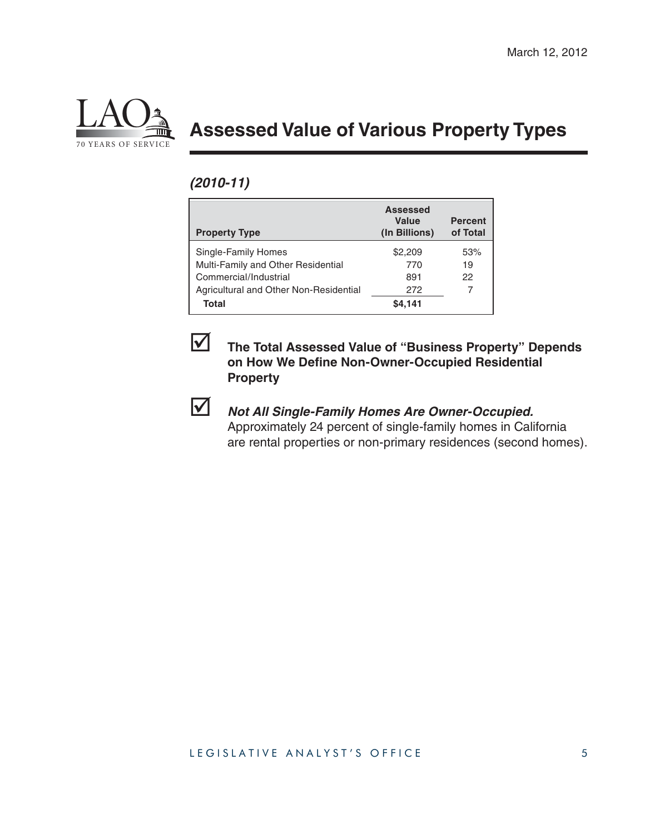

## **Assessed Value of Various Property Types**

#### *(2010-11)*

| <b>Property Type</b>                                                               | <b>Assessed</b><br>Value<br>(In Billions) | <b>Percent</b><br>of Total |
|------------------------------------------------------------------------------------|-------------------------------------------|----------------------------|
| Single-Family Homes<br>Multi-Family and Other Residential<br>Commercial/Industrial | \$2,209<br>770<br>891                     | 53%<br>19<br>22            |
| Agricultural and Other Non-Residential<br>Total                                    | 272<br>\$4.141                            |                            |



#### **The Total Assessed Value of "Business Property" Depends on How We Define Non-Owner-Occupied Residential Property**

#### *Not All Single-Family Homes Are Owner-Occupied.*

Approximately 24 percent of single-family homes in California are rental properties or non-primary residences (second homes).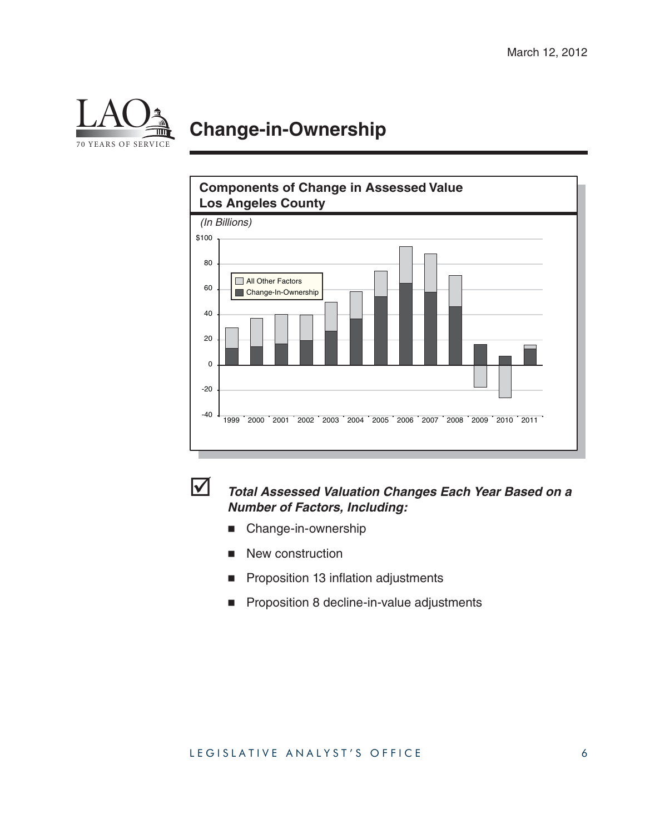

## **Change-in-Ownership**



#### *Total Assessed Valuation Changes Each Year Based on a Number of Factors, Including:*

- **Change-in-ownership**
- New construction
- **Proposition 13 inflation adjustments**
- Proposition 8 decline-in-value adjustments